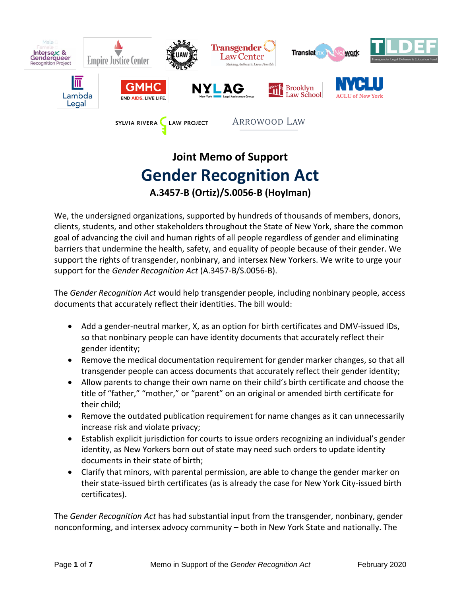

# **Joint Memo of Support Gender Recognition Act A.3457-B (Ortiz)/S.0056-B (Hoylman)**

We, the undersigned organizations, supported by hundreds of thousands of members, donors, clients, students, and other stakeholders throughout the State of New York, share the common goal of advancing the civil and human rights of all people regardless of gender and eliminating barriers that undermine the health, safety, and equality of people because of their gender. We support the rights of transgender, nonbinary, and intersex New Yorkers. We write to urge your support for the *Gender Recognition Act* (A.3457-B/S.0056-B).

The *Gender Recognition Act* would help transgender people, including nonbinary people, access documents that accurately reflect their identities. The bill would:

- Add a gender-neutral marker, X, as an option for birth certificates and DMV-issued IDs, so that nonbinary people can have identity documents that accurately reflect their gender identity;
- Remove the medical documentation requirement for gender marker changes, so that all transgender people can access documents that accurately reflect their gender identity;
- Allow parents to change their own name on their child's birth certificate and choose the title of "father," "mother," or "parent" on an original or amended birth certificate for their child;
- Remove the outdated publication requirement for name changes as it can unnecessarily increase risk and violate privacy;
- Establish explicit jurisdiction for courts to issue orders recognizing an individual's gender identity, as New Yorkers born out of state may need such orders to update identity documents in their state of birth;
- Clarify that minors, with parental permission, are able to change the gender marker on their state-issued birth certificates (as is already the case for New York City-issued birth certificates).

The *Gender Recognition Act* has had substantial input from the transgender, nonbinary, gender nonconforming, and intersex advocy community – both in New York State and nationally. The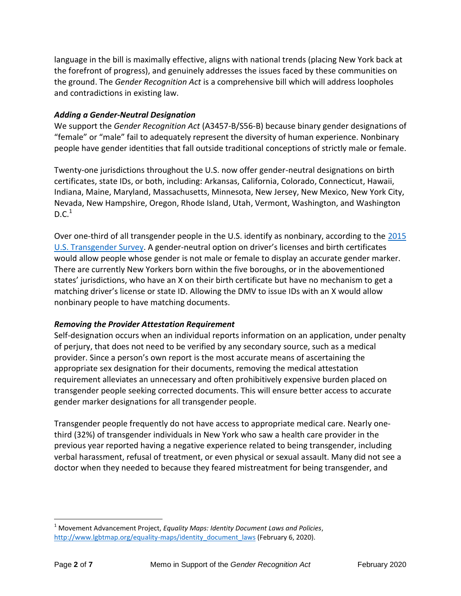language in the bill is maximally effective, aligns with national trends (placing New York back at the forefront of progress), and genuinely addresses the issues faced by these communities on the ground. The *Gender Recognition Act* is a comprehensive bill which will address loopholes and contradictions in existing law.

#### *Adding a Gender-Neutral Designation*

We support the *Gender Recognition Act* (A3457-B/S56-B) because binary gender designations of "female" or "male" fail to adequately represent the diversity of human experience. Nonbinary people have gender identities that fall outside traditional conceptions of strictly male or female.

Twenty-one jurisdictions throughout the U.S. now offer gender-neutral designations on birth certificates, state IDs, or both, including: Arkansas, California, Colorado, Connecticut, Hawaii, Indiana, Maine, Maryland, Massachusetts, Minnesota, New Jersey, New Mexico, New York City, Nevada, New Hampshire, Oregon, Rhode Island, Utah, Vermont, Washington, and Washington  $D.C.<sup>1</sup>$ 

Over one-third of all transgender people in the U.S. identify as nonbinary, according to the [2015](http://www.ustranssurvey.org/reports)  [U.S. Transgender Survey.](http://www.ustranssurvey.org/reports) A gender-neutral option on driver's licenses and birth certificates would allow people whose gender is not male or female to display an accurate gender marker. There are currently New Yorkers born within the five boroughs, or in the abovementioned states' jurisdictions, who have an X on their birth certificate but have no mechanism to get a matching driver's license or state ID. Allowing the DMV to issue IDs with an X would allow nonbinary people to have matching documents.

#### *Removing the Provider Attestation Requirement*

Self-designation occurs when an individual reports information on an application, under penalty of perjury, that does not need to be verified by any secondary source, such as a medical provider. Since a person's own report is the most accurate means of ascertaining the appropriate sex designation for their documents, removing the medical attestation requirement alleviates an unnecessary and often prohibitively expensive burden placed on transgender people seeking corrected documents. This will ensure better access to accurate gender marker designations for all transgender people.

Transgender people frequently do not have access to appropriate medical care. Nearly onethird (32%) of transgender individuals in New York who saw a health care provider in the previous year reported having a negative experience related to being transgender, including verbal harassment, refusal of treatment, or even physical or sexual assault. Many did not see a doctor when they needed to because they feared mistreatment for being transgender, and

 $\overline{a}$ 

<sup>1</sup> Movement Advancement Project, *Equality Maps: Identity Document Laws and Policies*, [http://www.lgbtmap.org/equality-maps/identity\\_document\\_laws](http://www.lgbtmap.org/equality-maps/identity_document_laws) (February 6, 2020).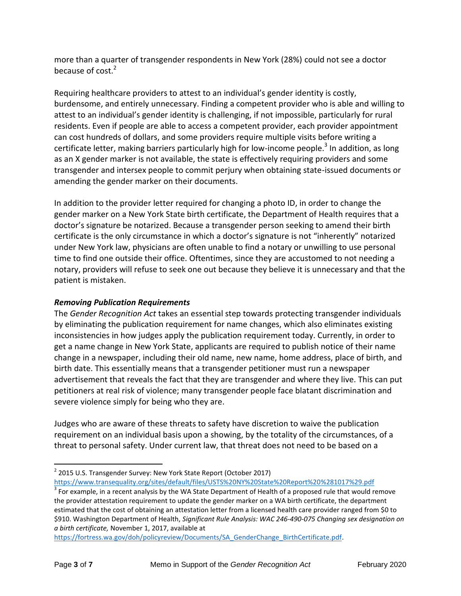more than a quarter of transgender respondents in New York (28%) could not see a doctor because of cost.<sup>2</sup>

Requiring healthcare providers to attest to an individual's gender identity is costly, burdensome, and entirely unnecessary. Finding a competent provider who is able and willing to attest to an individual's gender identity is challenging, if not impossible, particularly for rural residents. Even if people are able to access a competent provider, each provider appointment can cost hundreds of dollars, and some providers require multiple visits before writing a certificate letter, making barriers particularly high for low-income people.<sup>3</sup> In addition, as long as an X gender marker is not available, the state is effectively requiring providers and some transgender and intersex people to commit perjury when obtaining state-issued documents or amending the gender marker on their documents.

In addition to the provider letter required for changing a photo ID, in order to change the gender marker on a New York State birth certificate, the Department of Health requires that a doctor's signature be notarized. Because a transgender person seeking to amend their birth certificate is the only circumstance in which a doctor's signature is not "inherently" notarized under New York law, physicians are often unable to find a notary or unwilling to use personal time to find one outside their office. Oftentimes, since they are accustomed to not needing a notary, providers will refuse to seek one out because they believe it is unnecessary and that the patient is mistaken.

## *Removing Publication Requirements*

The *Gender Recognition Act* takes an essential step towards protecting transgender individuals by eliminating the publication requirement for name changes, which also eliminates existing inconsistencies in how judges apply the publication requirement today. Currently, in order to get a name change in New York State, applicants are required to publish notice of their name change in a newspaper, including their old name, new name, home address, place of birth, and birth date. This essentially means that a transgender petitioner must run a newspaper advertisement that reveals the fact that they are transgender and where they live. This can put petitioners at real risk of violence; many transgender people face blatant discrimination and severe violence simply for being who they are.

Judges who are aware of these threats to safety have discretion to waive the publication requirement on an individual basis upon a showing, by the totality of the circumstances, of a threat to personal safety. Under current law, that threat does not need to be based on a

<https://www.transequality.org/sites/default/files/USTS%20NY%20State%20Report%20%281017%29.pdf>

 $\overline{a}$ 

<sup>&</sup>lt;sup>2</sup> 2015 U.S. Transgender Survey: New York State Report (October 2017)

 $3$  For example, in a recent analysis by the WA State Department of Health of a proposed rule that would remove the provider attestation requirement to update the gender marker on a WA birth certificate, the department estimated that the cost of obtaining an attestation letter from a licensed health care provider ranged from \$0 to \$910. Washington Department of Health, *Significant Rule Analysis: WAC 246-490-075 Changing sex designation on a birth certificate,* November 1, 2017, available at

[https://fortress.wa.gov/doh/policyreview/Documents/SA\\_GenderChange\\_BirthCertificate.pdf.](https://fortress.wa.gov/doh/policyreview/Documents/SA_GenderChange_BirthCertificate.pdf)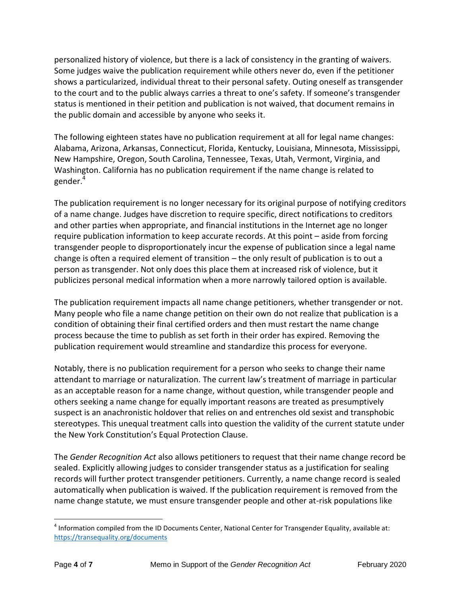personalized history of violence, but there is a lack of consistency in the granting of waivers. Some judges waive the publication requirement while others never do, even if the petitioner shows a particularized, individual threat to their personal safety. Outing oneself as transgender to the court and to the public always carries a threat to one's safety. If someone's transgender status is mentioned in their petition and publication is not waived, that document remains in the public domain and accessible by anyone who seeks it.

The following eighteen states have no publication requirement at all for legal name changes: Alabama, Arizona, Arkansas, Connecticut, Florida, Kentucky, Louisiana, Minnesota, Mississippi, New Hampshire, Oregon, South Carolina, Tennessee, Texas, Utah, Vermont, Virginia, and Washington. California has no publication requirement if the name change is related to gender.<sup>4</sup>

The publication requirement is no longer necessary for its original purpose of notifying creditors of a name change. Judges have discretion to require specific, direct notifications to creditors and other parties when appropriate, and financial institutions in the Internet age no longer require publication information to keep accurate records. At this point – aside from forcing transgender people to disproportionately incur the expense of publication since a legal name change is often a required element of transition – the only result of publication is to out a person as transgender. Not only does this place them at increased risk of violence, but it publicizes personal medical information when a more narrowly tailored option is available.

The publication requirement impacts all name change petitioners, whether transgender or not. Many people who file a name change petition on their own do not realize that publication is a condition of obtaining their final certified orders and then must restart the name change process because the time to publish as set forth in their order has expired. Removing the publication requirement would streamline and standardize this process for everyone.

Notably, there is no publication requirement for a person who seeks to change their name attendant to marriage or naturalization. The current law's treatment of marriage in particular as an acceptable reason for a name change, without question, while transgender people and others seeking a name change for equally important reasons are treated as presumptively suspect is an anachronistic holdover that relies on and entrenches old sexist and transphobic stereotypes. This unequal treatment calls into question the validity of the current statute under the New York Constitution's Equal Protection Clause.

The *Gender Recognition Act* also allows petitioners to request that their name change record be sealed. Explicitly allowing judges to consider transgender status as a justification for sealing records will further protect transgender petitioners. Currently, a name change record is sealed automatically when publication is waived. If the publication requirement is removed from the name change statute, we must ensure transgender people and other at-risk populations like

 $\overline{a}$ 

 $<sup>4</sup>$  Information compiled from the ID Documents Center, National Center for Transgender Equality, available at:</sup> <https://transequality.org/documents>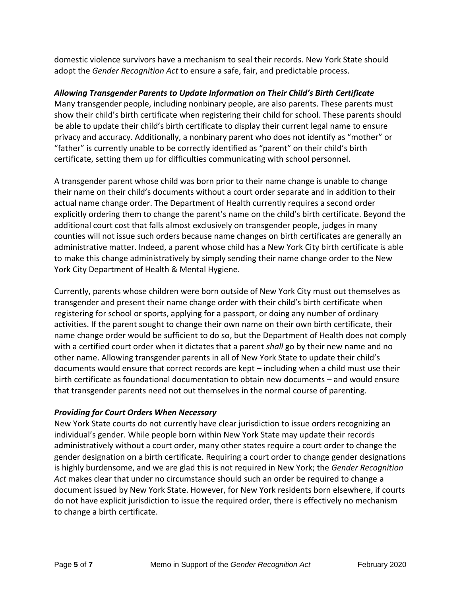domestic violence survivors have a mechanism to seal their records. New York State should adopt the *Gender Recognition Act* to ensure a safe, fair, and predictable process.

## *Allowing Transgender Parents to Update Information on Their Child's Birth Certificate*

Many transgender people, including nonbinary people, are also parents. These parents must show their child's birth certificate when registering their child for school. These parents should be able to update their child's birth certificate to display their current legal name to ensure privacy and accuracy. Additionally, a nonbinary parent who does not identify as "mother" or "father" is currently unable to be correctly identified as "parent" on their child's birth certificate, setting them up for difficulties communicating with school personnel.

A transgender parent whose child was born prior to their name change is unable to change their name on their child's documents without a court order separate and in addition to their actual name change order. The Department of Health currently requires a second order explicitly ordering them to change the parent's name on the child's birth certificate. Beyond the additional court cost that falls almost exclusively on transgender people, judges in many counties will not issue such orders because name changes on birth certificates are generally an administrative matter. Indeed, a parent whose child has a New York City birth certificate is able to make this change administratively by simply sending their name change order to the New York City Department of Health & Mental Hygiene.

Currently, parents whose children were born outside of New York City must out themselves as transgender and present their name change order with their child's birth certificate when registering for school or sports, applying for a passport, or doing any number of ordinary activities. If the parent sought to change their own name on their own birth certificate, their name change order would be sufficient to do so, but the Department of Health does not comply with a certified court order when it dictates that a parent *shall* go by their new name and no other name. Allowing transgender parents in all of New York State to update their child's documents would ensure that correct records are kept – including when a child must use their birth certificate as foundational documentation to obtain new documents – and would ensure that transgender parents need not out themselves in the normal course of parenting.

## *Providing for Court Orders When Necessary*

New York State courts do not currently have clear jurisdiction to issue orders recognizing an individual's gender. While people born within New York State may update their records administratively without a court order, many other states require a court order to change the gender designation on a birth certificate. Requiring a court order to change gender designations is highly burdensome, and we are glad this is not required in New York; the *Gender Recognition Act* makes clear that under no circumstance should such an order be required to change a document issued by New York State. However, for New York residents born elsewhere, if courts do not have explicit jurisdiction to issue the required order, there is effectively no mechanism to change a birth certificate.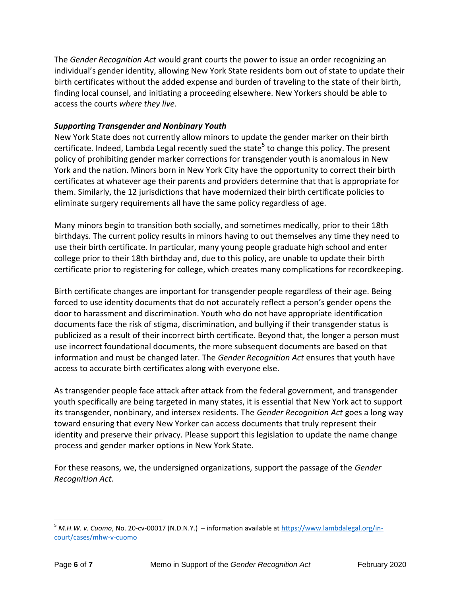The *Gender Recognition Act* would grant courts the power to issue an order recognizing an individual's gender identity, allowing New York State residents born out of state to update their birth certificates without the added expense and burden of traveling to the state of their birth, finding local counsel, and initiating a proceeding elsewhere. New Yorkers should be able to access the courts *where they live*.

## *Supporting Transgender and Nonbinary Youth*

New York State does not currently allow minors to update the gender marker on their birth certificate. Indeed, Lambda Legal recently sued the state<sup>5</sup> to change this policy. The present policy of prohibiting gender marker corrections for transgender youth is anomalous in New York and the nation. Minors born in New York City have the opportunity to correct their birth certificates at whatever age their parents and providers determine that that is appropriate for them. Similarly, the 12 jurisdictions that have modernized their birth certificate policies to eliminate surgery requirements all have the same policy regardless of age.

Many minors begin to transition both socially, and sometimes medically, prior to their 18th birthdays. The current policy results in minors having to out themselves any time they need to use their birth certificate. In particular, many young people graduate high school and enter college prior to their 18th birthday and, due to this policy, are unable to update their birth certificate prior to registering for college, which creates many complications for recordkeeping.

Birth certificate changes are important for transgender people regardless of their age. Being forced to use identity documents that do not accurately reflect a person's gender opens the door to harassment and discrimination. Youth who do not have appropriate identification documents face the risk of stigma, discrimination, and bullying if their transgender status is publicized as a result of their incorrect birth certificate. Beyond that, the longer a person must use incorrect foundational documents, the more subsequent documents are based on that information and must be changed later. The *Gender Recognition Act* ensures that youth have access to accurate birth certificates along with everyone else.

As transgender people face attack after attack from the federal government, and transgender youth specifically are being targeted in many states, it is essential that New York act to support its transgender, nonbinary, and intersex residents. The *Gender Recognition Act* goes a long way toward ensuring that every New Yorker can access documents that truly represent their identity and preserve their privacy. Please support this legislation to update the name change process and gender marker options in New York State.

For these reasons, we, the undersigned organizations, support the passage of the *Gender Recognition Act*.

 $\overline{a}$ <sup>5</sup> *M.H.W. v. Cuomo*, No. 20-cv-00017 (N.D.N.Y.) – information available at [https://www.lambdalegal.org/in](https://www.lambdalegal.org/in-court/cases/mhw-v-cuomo)[court/cases/mhw-v-cuomo](https://www.lambdalegal.org/in-court/cases/mhw-v-cuomo)